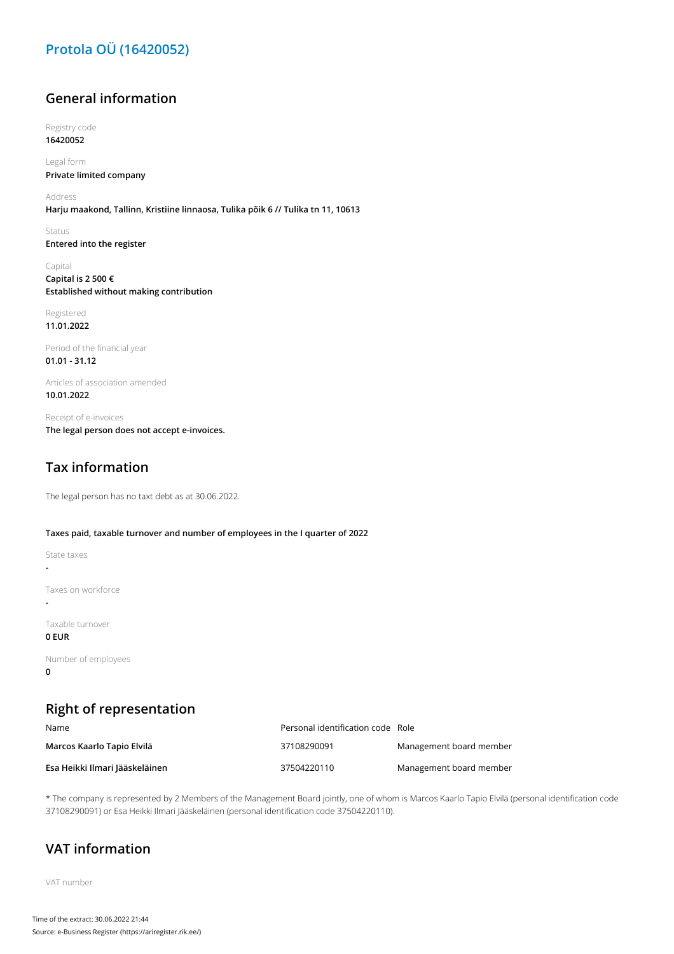## **Protola OÜ (16420052)**

#### **General information**

Registry code **16420052**

Legal form **Private limited company**

Address **Harju maakond, Tallinn, Kristiine linnaosa, Tulika põik 6 // Tulika tn 11, 10613**

Status **Entered into the register**

Capital **Capital is 2 500 € Established without making contribution**

Registered **11.01.2022**

Period of the financial year **01.01 - 31.12**

Articles of association amended **10.01.2022**

Receipt of e-invoices **The legal person does not accept e-invoices.**

### **Tax information**

The legal person has no taxt debt as at 30.06.2022.

#### **Taxes paid, taxable turnover and number of employees in the I quarter of 2022**

State taxes

**-**

**-**

Taxes on workforce

Taxable turnover

**0 EUR**

Number of employees **0**

### **Right of representation**

| Name                           | Personal identification code Role |                         |
|--------------------------------|-----------------------------------|-------------------------|
| Marcos Kaarlo Tapio Elvilä     | 37108290091                       | Management board member |
| Esa Heikki Ilmari Jääskeläinen | 37504220110                       | Management board member |

\* The company is represented by 2 Members of the Management Board jointly, one of whom is Marcos Kaarlo Tapio Elvilä (personal identification code 37108290091) or Esa Heikki Ilmari Jääskeläinen (personal identification code 37504220110).

### **VAT information**

VAT number